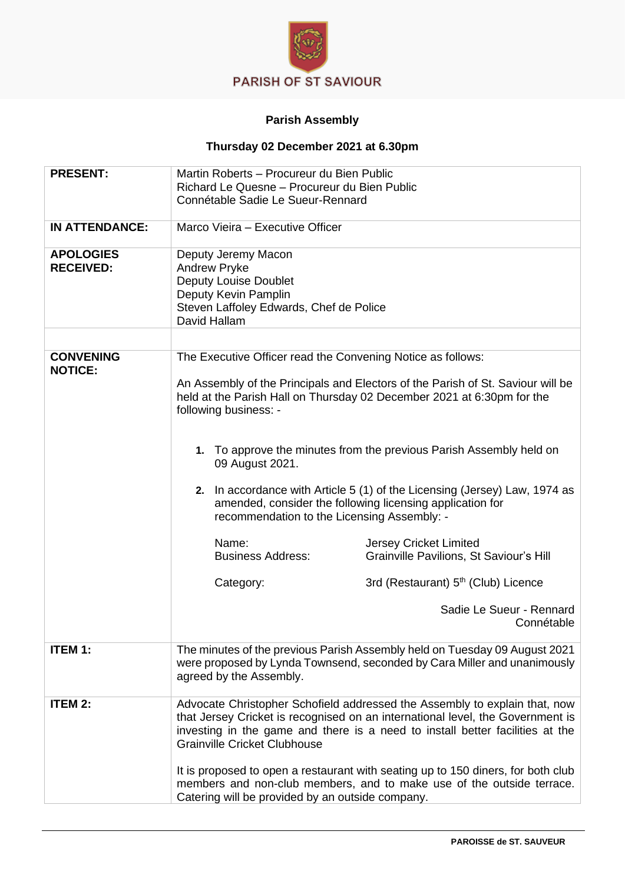

## **Parish Assembly**

## **Thursday 02 December 2021 at 6.30pm**

| <b>PRESENT:</b>                    | Martin Roberts - Procureur du Bien Public                                                                                                                                                                     |
|------------------------------------|---------------------------------------------------------------------------------------------------------------------------------------------------------------------------------------------------------------|
|                                    | Richard Le Quesne - Procureur du Bien Public                                                                                                                                                                  |
|                                    | Connétable Sadie Le Sueur-Rennard                                                                                                                                                                             |
|                                    |                                                                                                                                                                                                               |
| <b>IN ATTENDANCE:</b>              | Marco Vieira - Executive Officer                                                                                                                                                                              |
| <b>APOLOGIES</b>                   | Deputy Jeremy Macon                                                                                                                                                                                           |
| <b>RECEIVED:</b>                   | <b>Andrew Pryke</b>                                                                                                                                                                                           |
|                                    | <b>Deputy Louise Doublet</b>                                                                                                                                                                                  |
|                                    | Deputy Kevin Pamplin                                                                                                                                                                                          |
|                                    | Steven Laffoley Edwards, Chef de Police                                                                                                                                                                       |
|                                    | David Hallam                                                                                                                                                                                                  |
|                                    |                                                                                                                                                                                                               |
|                                    |                                                                                                                                                                                                               |
| <b>CONVENING</b><br><b>NOTICE:</b> | The Executive Officer read the Convening Notice as follows:                                                                                                                                                   |
|                                    | An Assembly of the Principals and Electors of the Parish of St. Saviour will be<br>held at the Parish Hall on Thursday 02 December 2021 at 6:30pm for the<br>following business: -                            |
|                                    |                                                                                                                                                                                                               |
|                                    | 1. To approve the minutes from the previous Parish Assembly held on<br>09 August 2021.                                                                                                                        |
|                                    |                                                                                                                                                                                                               |
|                                    | 2. In accordance with Article 5 (1) of the Licensing (Jersey) Law, 1974 as<br>amended, consider the following licensing application for<br>recommendation to the Licensing Assembly: -                        |
|                                    |                                                                                                                                                                                                               |
|                                    | Name:<br><b>Jersey Cricket Limited</b><br><b>Business Address:</b><br>Grainville Pavilions, St Saviour's Hill                                                                                                 |
|                                    | 3rd (Restaurant) 5 <sup>th</sup> (Club) Licence<br>Category:                                                                                                                                                  |
|                                    | Sadie Le Sueur - Rennard<br>Connétable                                                                                                                                                                        |
| <b>ITEM 1:</b>                     | The minutes of the previous Parish Assembly held on Tuesday 09 August 2021<br>were proposed by Lynda Townsend, seconded by Cara Miller and unanimously<br>agreed by the Assembly.                             |
| <b>ITEM 2:</b>                     | Advocate Christopher Schofield addressed the Assembly to explain that, now                                                                                                                                    |
|                                    | that Jersey Cricket is recognised on an international level, the Government is<br>investing in the game and there is a need to install better facilities at the<br><b>Grainville Cricket Clubhouse</b>        |
|                                    | It is proposed to open a restaurant with seating up to 150 diners, for both club<br>members and non-club members, and to make use of the outside terrace.<br>Catering will be provided by an outside company. |